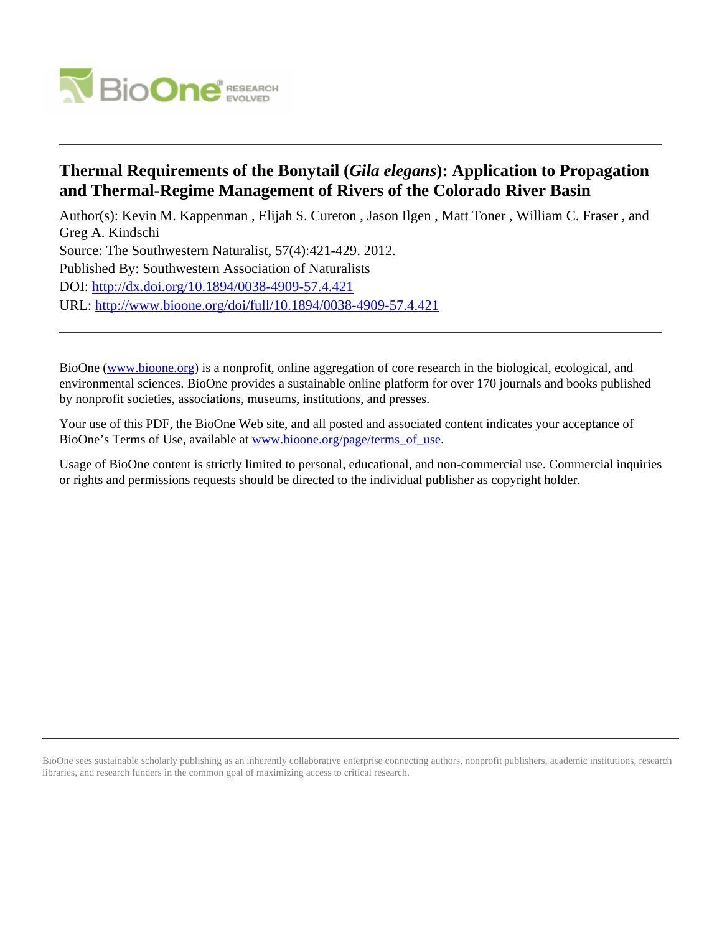

## **Thermal Requirements of the Bonytail (***Gila elegans***): Application to Propagation and Thermal-Regime Management of Rivers of the Colorado River Basin**

Author(s): Kevin M. Kappenman , Elijah S. Cureton , Jason Ilgen , Matt Toner , William C. Fraser , and Greg A. Kindschi Source: The Southwestern Naturalist, 57(4):421-429. 2012. Published By: Southwestern Association of Naturalists DOI:<http://dx.doi.org/10.1894/0038-4909-57.4.421> URL: <http://www.bioone.org/doi/full/10.1894/0038-4909-57.4.421>

BioOne [\(www.bioone.org\)](http://www.bioone.org) is a nonprofit, online aggregation of core research in the biological, ecological, and environmental sciences. BioOne provides a sustainable online platform for over 170 journals and books published by nonprofit societies, associations, museums, institutions, and presses.

Your use of this PDF, the BioOne Web site, and all posted and associated content indicates your acceptance of BioOne's Terms of Use, available at [www.bioone.org/page/terms\\_of\\_use.](http://www.bioone.org/page/terms_of_use)

Usage of BioOne content is strictly limited to personal, educational, and non-commercial use. Commercial inquiries or rights and permissions requests should be directed to the individual publisher as copyright holder.

BioOne sees sustainable scholarly publishing as an inherently collaborative enterprise connecting authors, nonprofit publishers, academic institutions, research libraries, and research funders in the common goal of maximizing access to critical research.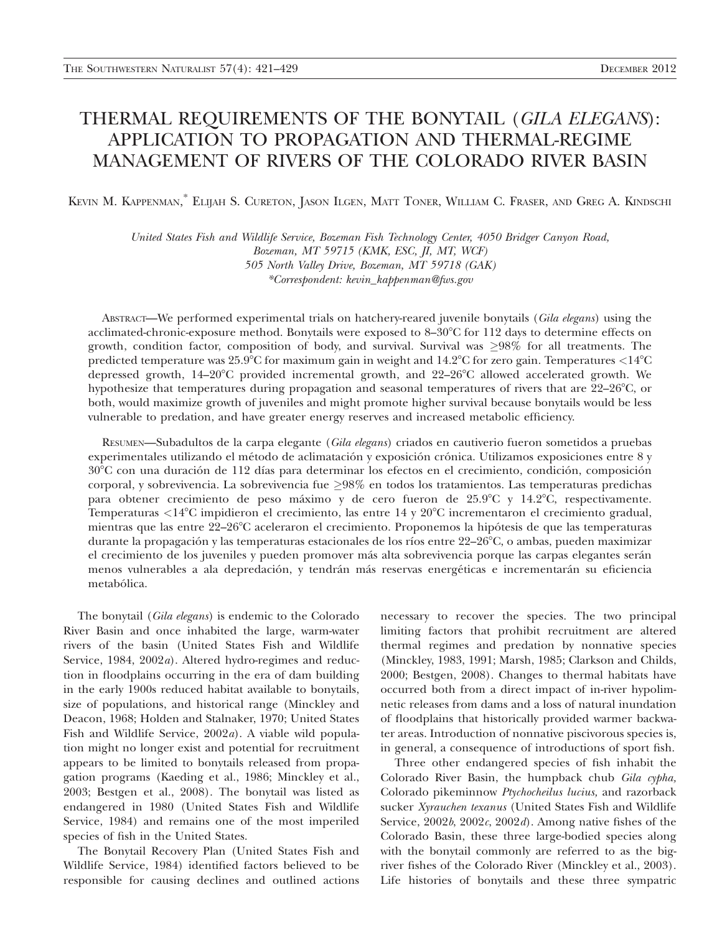## THERMAL REQUIREMENTS OF THE BONYTAIL (GILA ELEGANS): APPLICATION TO PROPAGATION AND THERMAL-REGIME MANAGEMENT OF RIVERS OF THE COLORADO RIVER BASIN

KEVIN M. KAPPENMAN, \* ELIJAH S. CURETON, JASON ILGEN, MATT TONER, WILLIAM C. FRASER, AND GREG A. KINDSCHI

United States Fish and Wildlife Service, Bozeman Fish Technology Center, 4050 Bridger Canyon Road, Bozeman, MT 59715 (KMK, ESC, JI, MT, WCF) 505 North Valley Drive, Bozeman, MT 59718 (GAK) \*Correspondent: kevin\_kappenman@fws.gov

ABSTRACT—We performed experimental trials on hatchery-reared juvenile bonytails (Gila elegans) using the acclimated-chronic-exposure method. Bonytails were exposed to  $8-30^{\circ}$ C for 112 days to determine effects on growth, condition factor, composition of body, and survival. Survival was  $\geq 98\%$  for all treatments. The predicted temperature was  $25.9^{\circ}$ C for maximum gain in weight and  $14.2^{\circ}$ C for zero gain. Temperatures  $\langle 14^{\circ}$ C depressed growth, 14-20°C provided incremental growth, and 22-26°C allowed accelerated growth. We hypothesize that temperatures during propagation and seasonal temperatures of rivers that are  $22-26^{\circ}$ C, or both, would maximize growth of juveniles and might promote higher survival because bonytails would be less vulnerable to predation, and have greater energy reserves and increased metabolic efficiency.

RESUMEN—Subadultos de la carpa elegante (Gila elegans) criados en cautiverio fueron sometidos a pruebas experimentales utilizando el método de aclimatación y exposición crónica. Utilizamos exposiciones entre 8 y 30°C con una duración de 112 días para determinar los efectos en el crecimiento, condición, composición corporal, y sobrevivencia. La sobrevivencia fue  $\geq$ 98% en todos los tratamientos. Las temperaturas predichas para obtener crecimiento de peso máximo y de cero fueron de 25.9°C y 14.2°C, respectivamente. Temperaturas <14°C impidieron el crecimiento, las entre 14 y 20°C incrementaron el crecimiento gradual, mientras que las entre 22–26°C aceleraron el crecimiento. Proponemos la hipótesis de que las temperaturas durante la propagación y las temperaturas estacionales de los ríos entre 22–26°C, o ambas, pueden maximizar el crecimiento de los juveniles y pueden promover más alta sobrevivencia porque las carpas elegantes serán menos vulnerables a ala depredación, y tendrán más reservas energéticas e incrementarán su eficiencia metabólica.

The bonytail (Gila elegans) is endemic to the Colorado River Basin and once inhabited the large, warm-water rivers of the basin (United States Fish and Wildlife Service, 1984, 2002a). Altered hydro-regimes and reduction in floodplains occurring in the era of dam building in the early 1900s reduced habitat available to bonytails, size of populations, and historical range (Minckley and Deacon, 1968; Holden and Stalnaker, 1970; United States Fish and Wildlife Service, 2002a). A viable wild population might no longer exist and potential for recruitment appears to be limited to bonytails released from propagation programs (Kaeding et al., 1986; Minckley et al., 2003; Bestgen et al., 2008). The bonytail was listed as endangered in 1980 (United States Fish and Wildlife Service, 1984) and remains one of the most imperiled species of fish in the United States.

The Bonytail Recovery Plan (United States Fish and Wildlife Service, 1984) identified factors believed to be responsible for causing declines and outlined actions necessary to recover the species. The two principal limiting factors that prohibit recruitment are altered thermal regimes and predation by nonnative species (Minckley, 1983, 1991; Marsh, 1985; Clarkson and Childs, 2000; Bestgen, 2008). Changes to thermal habitats have occurred both from a direct impact of in-river hypolimnetic releases from dams and a loss of natural inundation of floodplains that historically provided warmer backwater areas. Introduction of nonnative piscivorous species is, in general, a consequence of introductions of sport fish.

Three other endangered species of fish inhabit the Colorado River Basin, the humpback chub Gila cypha, Colorado pikeminnow Ptychocheilus lucius, and razorback sucker Xyrauchen texanus (United States Fish and Wildlife Service,  $2002b$ ,  $2002c$ ,  $2002d$ ). Among native fishes of the Colorado Basin, these three large-bodied species along with the bonytail commonly are referred to as the bigriver fishes of the Colorado River (Minckley et al., 2003). Life histories of bonytails and these three sympatric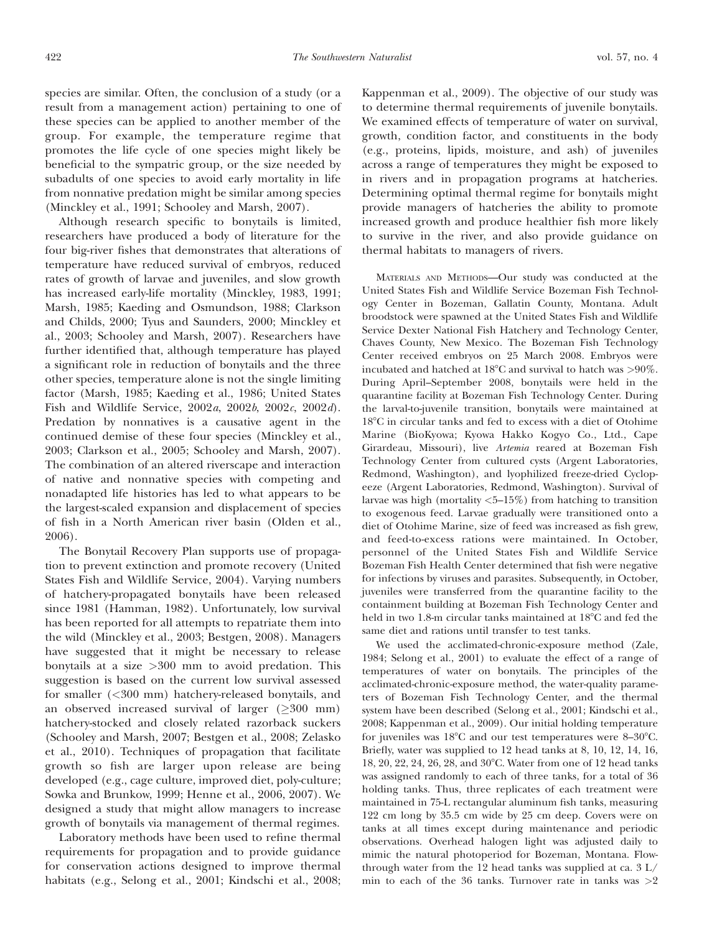species are similar. Often, the conclusion of a study (or a result from a management action) pertaining to one of these species can be applied to another member of the group. For example, the temperature regime that promotes the life cycle of one species might likely be beneficial to the sympatric group, or the size needed by subadults of one species to avoid early mortality in life from nonnative predation might be similar among species (Minckley et al., 1991; Schooley and Marsh, 2007).

Although research specific to bonytails is limited, researchers have produced a body of literature for the four big-river fishes that demonstrates that alterations of temperature have reduced survival of embryos, reduced rates of growth of larvae and juveniles, and slow growth has increased early-life mortality (Minckley, 1983, 1991; Marsh, 1985; Kaeding and Osmundson, 1988; Clarkson and Childs, 2000; Tyus and Saunders, 2000; Minckley et al., 2003; Schooley and Marsh, 2007). Researchers have further identified that, although temperature has played a significant role in reduction of bonytails and the three other species, temperature alone is not the single limiting factor (Marsh, 1985; Kaeding et al., 1986; United States Fish and Wildlife Service, 2002a, 2002b, 2002c, 2002d). Predation by nonnatives is a causative agent in the continued demise of these four species (Minckley et al., 2003; Clarkson et al., 2005; Schooley and Marsh, 2007). The combination of an altered riverscape and interaction of native and nonnative species with competing and nonadapted life histories has led to what appears to be the largest-scaled expansion and displacement of species of fish in a North American river basin (Olden et al., 2006).

The Bonytail Recovery Plan supports use of propagation to prevent extinction and promote recovery (United States Fish and Wildlife Service, 2004). Varying numbers of hatchery-propagated bonytails have been released since 1981 (Hamman, 1982). Unfortunately, low survival has been reported for all attempts to repatriate them into the wild (Minckley et al., 2003; Bestgen, 2008). Managers have suggested that it might be necessary to release bonytails at a size >300 mm to avoid predation. This suggestion is based on the current low survival assessed for smaller (<300 mm) hatchery-released bonytails, and an observed increased survival of larger  $(>300$  mm) hatchery-stocked and closely related razorback suckers (Schooley and Marsh, 2007; Bestgen et al., 2008; Zelasko et al., 2010). Techniques of propagation that facilitate growth so fish are larger upon release are being developed (e.g., cage culture, improved diet, poly-culture; Sowka and Brunkow, 1999; Henne et al., 2006, 2007). We designed a study that might allow managers to increase growth of bonytails via management of thermal regimes.

Laboratory methods have been used to refine thermal requirements for propagation and to provide guidance for conservation actions designed to improve thermal habitats (e.g., Selong et al., 2001; Kindschi et al., 2008; Kappenman et al., 2009). The objective of our study was to determine thermal requirements of juvenile bonytails. We examined effects of temperature of water on survival, growth, condition factor, and constituents in the body (e.g., proteins, lipids, moisture, and ash) of juveniles across a range of temperatures they might be exposed to in rivers and in propagation programs at hatcheries. Determining optimal thermal regime for bonytails might provide managers of hatcheries the ability to promote increased growth and produce healthier fish more likely to survive in the river, and also provide guidance on thermal habitats to managers of rivers.

MATERIALS AND METHODS—Our study was conducted at the United States Fish and Wildlife Service Bozeman Fish Technology Center in Bozeman, Gallatin County, Montana. Adult broodstock were spawned at the United States Fish and Wildlife Service Dexter National Fish Hatchery and Technology Center, Chaves County, New Mexico. The Bozeman Fish Technology Center received embryos on 25 March 2008. Embryos were incubated and hatched at 18°C and survival to hatch was  $>90\%$ . During April–September 2008, bonytails were held in the quarantine facility at Bozeman Fish Technology Center. During the larval-to-juvenile transition, bonytails were maintained at 188C in circular tanks and fed to excess with a diet of Otohime Marine (BioKyowa; Kyowa Hakko Kogyo Co., Ltd., Cape Girardeau, Missouri), live Artemia reared at Bozeman Fish Technology Center from cultured cysts (Argent Laboratories, Redmond, Washington), and lyophilized freeze-dried Cyclopeeze (Argent Laboratories, Redmond, Washington). Survival of larvae was high (mortality <5–15%) from hatching to transition to exogenous feed. Larvae gradually were transitioned onto a diet of Otohime Marine, size of feed was increased as fish grew, and feed-to-excess rations were maintained. In October, personnel of the United States Fish and Wildlife Service Bozeman Fish Health Center determined that fish were negative for infections by viruses and parasites. Subsequently, in October, juveniles were transferred from the quarantine facility to the containment building at Bozeman Fish Technology Center and held in two 1.8-m circular tanks maintained at 18°C and fed the same diet and rations until transfer to test tanks.

We used the acclimated-chronic-exposure method (Zale, 1984; Selong et al., 2001) to evaluate the effect of a range of temperatures of water on bonytails. The principles of the acclimated-chronic-exposure method, the water-quality parameters of Bozeman Fish Technology Center, and the thermal system have been described (Selong et al., 2001; Kindschi et al., 2008; Kappenman et al., 2009). Our initial holding temperature for juveniles was  $18^{\circ}$ C and our test temperatures were  $8-30^{\circ}$ C. Briefly, water was supplied to 12 head tanks at 8, 10, 12, 14, 16, 18, 20, 22, 24, 26, 28, and 30°C. Water from one of 12 head tanks was assigned randomly to each of three tanks, for a total of 36 holding tanks. Thus, three replicates of each treatment were maintained in 75-L rectangular aluminum fish tanks, measuring 122 cm long by 35.5 cm wide by 25 cm deep. Covers were on tanks at all times except during maintenance and periodic observations. Overhead halogen light was adjusted daily to mimic the natural photoperiod for Bozeman, Montana. Flowthrough water from the 12 head tanks was supplied at ca. 3 L/ min to each of the 36 tanks. Turnover rate in tanks was  $>2$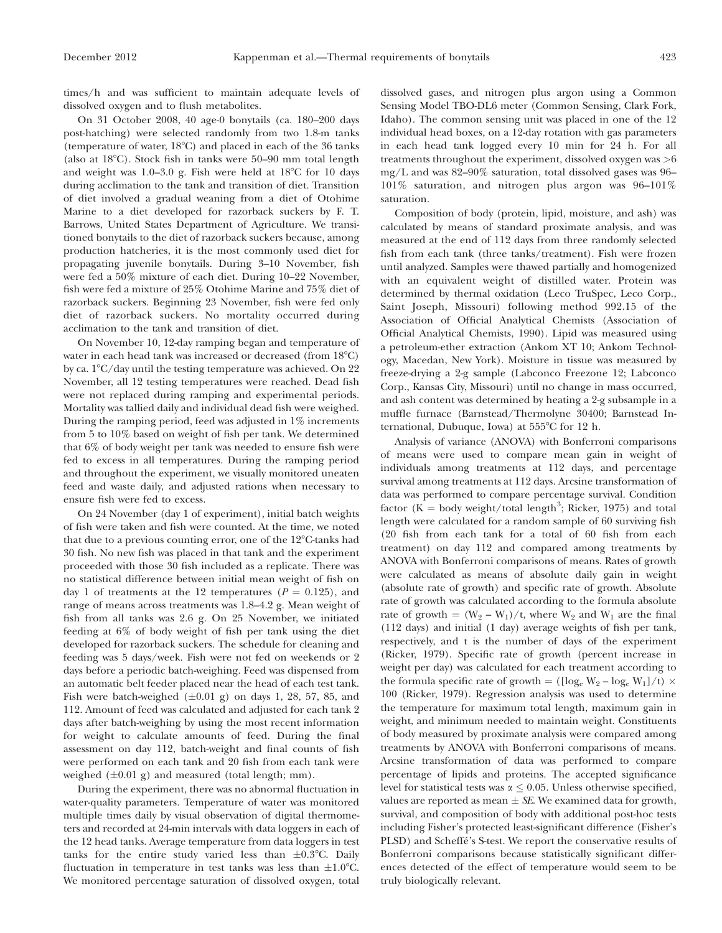times/h and was sufficient to maintain adequate levels of dissolved oxygen and to flush metabolites.

On 31 October 2008, 40 age-0 bonytails (ca. 180–200 days post-hatching) were selected randomly from two 1.8-m tanks (temperature of water,  $18^{\circ}$ C) and placed in each of the 36 tanks (also at  $18^{\circ}$ C). Stock fish in tanks were 50–90 mm total length and weight was  $1.0-3.0$  g. Fish were held at  $18^{\circ}$ C for  $10$  days during acclimation to the tank and transition of diet. Transition of diet involved a gradual weaning from a diet of Otohime Marine to a diet developed for razorback suckers by F. T. Barrows, United States Department of Agriculture. We transitioned bonytails to the diet of razorback suckers because, among production hatcheries, it is the most commonly used diet for propagating juvenile bonytails. During 3–10 November, fish were fed a 50% mixture of each diet. During 10–22 November, fish were fed a mixture of 25% Otohime Marine and 75% diet of razorback suckers. Beginning 23 November, fish were fed only diet of razorback suckers. No mortality occurred during acclimation to the tank and transition of diet.

On November 10, 12-day ramping began and temperature of water in each head tank was increased or decreased (from  $18^{\circ}$ C) by ca.  $1^{\circ}$ C/day until the testing temperature was achieved. On 22 November, all 12 testing temperatures were reached. Dead fish were not replaced during ramping and experimental periods. Mortality was tallied daily and individual dead fish were weighed. During the ramping period, feed was adjusted in 1% increments from 5 to 10% based on weight of fish per tank. We determined that 6% of body weight per tank was needed to ensure fish were fed to excess in all temperatures. During the ramping period and throughout the experiment, we visually monitored uneaten feed and waste daily, and adjusted rations when necessary to ensure fish were fed to excess.

On 24 November (day 1 of experiment), initial batch weights of fish were taken and fish were counted. At the time, we noted that due to a previous counting error, one of the  $12^{\circ}$ C-tanks had 30 fish. No new fish was placed in that tank and the experiment proceeded with those 30 fish included as a replicate. There was no statistical difference between initial mean weight of fish on day 1 of treatments at the 12 temperatures ( $P = 0.125$ ), and range of means across treatments was 1.8–4.2 g. Mean weight of fish from all tanks was 2.6 g. On 25 November, we initiated feeding at 6% of body weight of fish per tank using the diet developed for razorback suckers. The schedule for cleaning and feeding was 5 days/week. Fish were not fed on weekends or 2 days before a periodic batch-weighing. Feed was dispensed from an automatic belt feeder placed near the head of each test tank. Fish were batch-weighed  $(\pm 0.01 \text{ g})$  on days 1, 28, 57, 85, and 112. Amount of feed was calculated and adjusted for each tank 2 days after batch-weighing by using the most recent information for weight to calculate amounts of feed. During the final assessment on day 112, batch-weight and final counts of fish were performed on each tank and 20 fish from each tank were weighed  $(\pm 0.01 \text{ g})$  and measured (total length; mm).

During the experiment, there was no abnormal fluctuation in water-quality parameters. Temperature of water was monitored multiple times daily by visual observation of digital thermometers and recorded at 24-min intervals with data loggers in each of the 12 head tanks. Average temperature from data loggers in test tanks for the entire study varied less than  $\pm 0.3^{\circ}$ C. Daily fluctuation in temperature in test tanks was less than  $\pm 1.0^{\circ}$ C. We monitored percentage saturation of dissolved oxygen, total dissolved gases, and nitrogen plus argon using a Common Sensing Model TBO-DL6 meter (Common Sensing, Clark Fork, Idaho). The common sensing unit was placed in one of the 12 individual head boxes, on a 12-day rotation with gas parameters in each head tank logged every 10 min for 24 h. For all treatments throughout the experiment, dissolved oxygen was >6 mg/L and was 82–90% saturation, total dissolved gases was 96– 101% saturation, and nitrogen plus argon was 96–101% saturation.

Composition of body (protein, lipid, moisture, and ash) was calculated by means of standard proximate analysis, and was measured at the end of 112 days from three randomly selected fish from each tank (three tanks/treatment). Fish were frozen until analyzed. Samples were thawed partially and homogenized with an equivalent weight of distilled water. Protein was determined by thermal oxidation (Leco TruSpec, Leco Corp., Saint Joseph, Missouri) following method 992.15 of the Association of Official Analytical Chemists (Association of Official Analytical Chemists, 1990). Lipid was measured using a petroleum-ether extraction (Ankom XT 10; Ankom Technology, Macedan, New York). Moisture in tissue was measured by freeze-drying a 2-g sample (Labconco Freezone 12; Labconco Corp., Kansas City, Missouri) until no change in mass occurred, and ash content was determined by heating a 2-g subsample in a muffle furnace (Barnstead/Thermolyne 30400; Barnstead International, Dubuque, Iowa) at 555°C for 12 h.

Analysis of variance (ANOVA) with Bonferroni comparisons of means were used to compare mean gain in weight of individuals among treatments at 112 days, and percentage survival among treatments at 112 days. Arcsine transformation of data was performed to compare percentage survival. Condition factor ( $\bar{K} = \text{body weight/total length}^3$ ; Ricker, 1975) and total length were calculated for a random sample of 60 surviving fish (20 fish from each tank for a total of 60 fish from each treatment) on day 112 and compared among treatments by ANOVA with Bonferroni comparisons of means. Rates of growth were calculated as means of absolute daily gain in weight (absolute rate of growth) and specific rate of growth. Absolute rate of growth was calculated according to the formula absolute rate of growth =  $(W_2 - W_1)/t$ , where  $W_2$  and  $W_1$  are the final (112 days) and initial (1 day) average weights of fish per tank, respectively, and t is the number of days of the experiment (Ricker, 1979). Specific rate of growth (percent increase in weight per day) was calculated for each treatment according to the formula specific rate of growth = ( $[\log_{e} W_{2} - \log_{e} W_{1}]/t$ ) × 100 (Ricker, 1979). Regression analysis was used to determine the temperature for maximum total length, maximum gain in weight, and minimum needed to maintain weight. Constituents of body measured by proximate analysis were compared among treatments by ANOVA with Bonferroni comparisons of means. Arcsine transformation of data was performed to compare percentage of lipids and proteins. The accepted significance level for statistical tests was  $\alpha \leq 0.05$ . Unless otherwise specified, values are reported as mean  $\pm$  SE. We examined data for growth, survival, and composition of body with additional post-hoc tests including Fisher's protected least-significant difference (Fisher's PLSD) and Scheffé's S-test. We report the conservative results of Bonferroni comparisons because statistically significant differences detected of the effect of temperature would seem to be truly biologically relevant.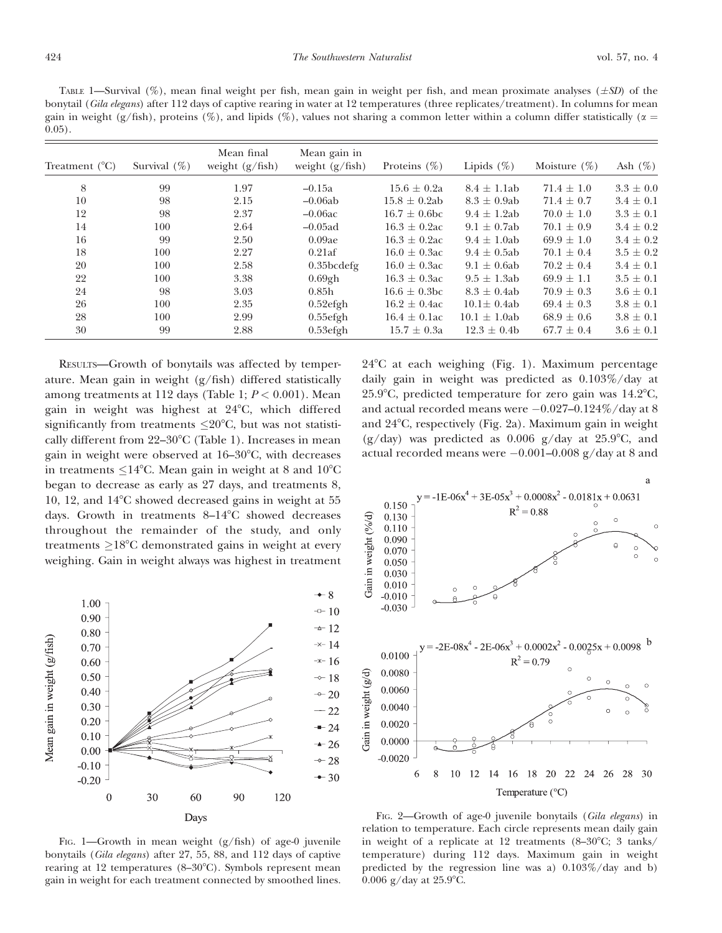TABLE 1—Survival (%), mean final weight per fish, mean gain in weight per fish, and mean proximate analyses ( $\pm SD$ ) of the bonytail (Gila elegans) after 112 days of captive rearing in water at 12 temperatures (three replicates/treatment). In columns for mean gain in weight (g/fish), proteins (%), and lipids (%), values not sharing a common letter within a column differ statistically ( $\alpha$  = 0.05).

| Treatment $(^{\circ}C)$ | Survival $(\%)$ | Mean final<br>weight $(g/fish)$ | Mean gain in<br>weight $(g/fish)$ | Proteins $(\% )$  | Lipids $(\%)$     | Moisture $(\%)$ | Ash $(\%)$    |
|-------------------------|-----------------|---------------------------------|-----------------------------------|-------------------|-------------------|-----------------|---------------|
| 8                       | 99              | 1.97                            | $-0.15a$                          | $15.6 \pm 0.2a$   | $8.4 \pm 1.1$ ab  | $71.4 \pm 1.0$  | $3.3 \pm 0.0$ |
| 10                      | 98              | 2.15                            | $-0.06ab$                         | $15.8 \pm 0.2ab$  | $8.3 \pm 0.9$ ab  | $71.4 \pm 0.7$  | $3.4 \pm 0.1$ |
| 12                      | 98              | 2.37                            | $-0.06ac$                         | $16.7 \pm 0.6$ bc | $9.4 \pm 1.2ab$   | $70.0 \pm 1.0$  | $3.3 \pm 0.1$ |
| 14                      | 100             | 2.64                            | $-0.05$ ad                        | $16.3 \pm 0.2$ ac | $9.1 \pm 0.7$ ab  | $70.1 \pm 0.9$  | $3.4 \pm 0.2$ |
| 16                      | 99              | 2.50                            | 0.09ae                            | $16.3 \pm 0.2$ ac | $9.4 \pm 1.0$ ab  | $69.9 \pm 1.0$  | $3.4 \pm 0.2$ |
| 18                      | 100             | 2.27                            | 0.21af                            | $16.0 \pm 0.3$ ac | $9.4 \pm 0.5$ ab  | $70.1 \pm 0.4$  | $3.5 \pm 0.2$ |
| 20                      | 100             | 2.58                            | $0.35$ bcdefg                     | $16.0 \pm 0.3$ ac | $9.1 \pm 0.6$ ab  | $70.2 \pm 0.4$  | $3.4 \pm 0.1$ |
| 22                      | 100             | 3.38                            | $0.69$ gh                         | $16.3 \pm 0.3$ ac | $9.5 \pm 1.3$ ab  | $69.9 \pm 1.1$  | $3.5 \pm 0.1$ |
| 24                      | 98              | 3.03                            | 0.85h                             | $16.6 \pm 0.3$ bc | $8.3 \pm 0.4ab$   | $70.9 \pm 0.3$  | $3.6 \pm 0.1$ |
| 26                      | 100             | 2.35                            | $0.52$ efgh                       | $16.2 \pm 0.4$ ac | $10.1 \pm 0.4ab$  | $69.4 \pm 0.3$  | $3.8 \pm 0.1$ |
| 28                      | 100             | 2.99                            | $0.55$ efgh                       | $16.4 \pm 0.1$ ac | $10.1 \pm 1.0$ ab | $68.9 \pm 0.6$  | $3.8 \pm 0.1$ |
| 30                      | 99              | 2.88                            | $0.53$ efgh                       | $15.7 \pm 0.3a$   | $12.3 \pm 0.4b$   | $67.7 \pm 0.4$  | $3.6 \pm 0.1$ |

RESULTS—Growth of bonytails was affected by temperature. Mean gain in weight (g/fish) differed statistically among treatments at 112 days (Table 1;  $P < 0.001$ ). Mean gain in weight was highest at  $24^{\circ}$ C, which differed significantly from treatments  $\leq$ 20°C, but was not statistically different from  $22-30^{\circ}$ C (Table 1). Increases in mean gain in weight were observed at  $16-30^{\circ}$ C, with decreases in treatments  $\leq$ 14°C. Mean gain in weight at 8 and 10°C began to decrease as early as 27 days, and treatments 8, 10, 12, and  $14^{\circ}$ C showed decreased gains in weight at 55 days. Growth in treatments  $8-14^{\circ}$ C showed decreases throughout the remainder of the study, and only treatments  $\geq$ 18°C demonstrated gains in weight at every weighing. Gain in weight always was highest in treatment



FIG. 1—Growth in mean weight  $(g/fish)$  of age-0 juvenile bonytails (Gila elegans) after 27, 55, 88, and 112 days of captive rearing at 12 temperatures  $(8-30^{\circ}C)$ . Symbols represent mean gain in weight for each treatment connected by smoothed lines.

 $24^{\circ}$ C at each weighing (Fig. 1). Maximum percentage daily gain in weight was predicted as 0.103%/day at 25.9 $^{\circ}$ C, predicted temperature for zero gain was 14.2 $^{\circ}$ C, and actual recorded means were  $-0.027-0.124\%$ /day at 8 and 24°C, respectively (Fig. 2a). Maximum gain in weight  $(g/day)$  was predicted as 0.006  $g/day$  at 25.9°C, and actual recorded means were  $-0.001-0.008$  g/day at 8 and



FIG. 2—Growth of age-0 juvenile bonytails (Gila elegans) in relation to temperature. Each circle represents mean daily gain in weight of a replicate at 12 treatments  $(8-30^{\circ}\text{C}; 3 \text{ tanks})$ temperature) during 112 days. Maximum gain in weight predicted by the regression line was a) 0.103%/day and b) 0.006 g/day at  $25.9^{\circ}$ C.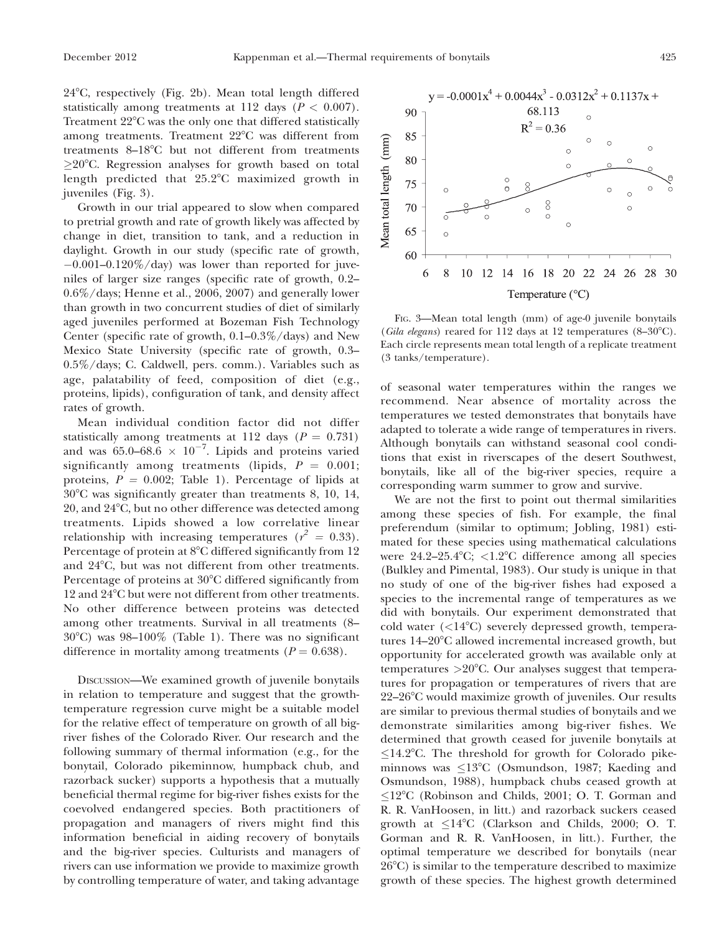24°C, respectively (Fig. 2b). Mean total length differed statistically among treatments at 112 days ( $P < 0.007$ ). Treatment  $22^{\circ}$ C was the only one that differed statistically among treatments. Treatment  $22^{\circ}$ C was different from treatments  $8-18^{\circ}$ C but not different from treatments  $\geq$ 20°C. Regression analyses for growth based on total length predicted that  $25.2^{\circ}$ C maximized growth in juveniles (Fig. 3).

Growth in our trial appeared to slow when compared to pretrial growth and rate of growth likely was affected by change in diet, transition to tank, and a reduction in daylight. Growth in our study (specific rate of growth,  $-0.001-0.120\%$ /day) was lower than reported for juveniles of larger size ranges (specific rate of growth, 0.2– 0.6%/days; Henne et al., 2006, 2007) and generally lower than growth in two concurrent studies of diet of similarly aged juveniles performed at Bozeman Fish Technology Center (specific rate of growth, 0.1–0.3%/days) and New Mexico State University (specific rate of growth, 0.3– 0.5%/days; C. Caldwell, pers. comm.). Variables such as age, palatability of feed, composition of diet (e.g., proteins, lipids), configuration of tank, and density affect rates of growth.

Mean individual condition factor did not differ statistically among treatments at 112 days ( $P = 0.731$ ) and was  $65.0-68.6 \times 10^{-7}$ . Lipids and proteins varied significantly among treatments (lipids,  $P = 0.001$ ; proteins,  $P = 0.002$ ; Table 1). Percentage of lipids at  $30^{\circ}$ C was significantly greater than treatments 8, 10, 14, 20, and 24°C, but no other difference was detected among treatments. Lipids showed a low correlative linear relationship with increasing temperatures ( $r^2 = 0.33$ ). Percentage of protein at 8°C differed significantly from 12 and 24°C, but was not different from other treatments. Percentage of proteins at 30<sup>o</sup>C differed significantly from 12 and 24°C but were not different from other treatments. No other difference between proteins was detected among other treatments. Survival in all treatments (8–  $30^{\circ}$ C) was  $98-100\%$  (Table 1). There was no significant difference in mortality among treatments ( $P = 0.638$ ).

DISCUSSION—We examined growth of juvenile bonytails in relation to temperature and suggest that the growthtemperature regression curve might be a suitable model for the relative effect of temperature on growth of all bigriver fishes of the Colorado River. Our research and the following summary of thermal information (e.g., for the bonytail, Colorado pikeminnow, humpback chub, and razorback sucker) supports a hypothesis that a mutually beneficial thermal regime for big-river fishes exists for the coevolved endangered species. Both practitioners of propagation and managers of rivers might find this information beneficial in aiding recovery of bonytails and the big-river species. Culturists and managers of rivers can use information we provide to maximize growth by controlling temperature of water, and taking advantage



FIG. 3—Mean total length (mm) of age-0 juvenile bonytails (Gila elegans) reared for 112 days at 12 temperatures  $(8-30^{\circ}C)$ . Each circle represents mean total length of a replicate treatment (3 tanks/temperature).

of seasonal water temperatures within the ranges we recommend. Near absence of mortality across the temperatures we tested demonstrates that bonytails have adapted to tolerate a wide range of temperatures in rivers. Although bonytails can withstand seasonal cool conditions that exist in riverscapes of the desert Southwest, bonytails, like all of the big-river species, require a corresponding warm summer to grow and survive.

We are not the first to point out thermal similarities among these species of fish. For example, the final preferendum (similar to optimum; Jobling, 1981) estimated for these species using mathematical calculations were  $24.2-25.4$ °C; <1.2°C difference among all species (Bulkley and Pimental, 1983). Our study is unique in that no study of one of the big-river fishes had exposed a species to the incremental range of temperatures as we did with bonytails. Our experiment demonstrated that cold water (<14°C) severely depressed growth, temperatures  $14-20^{\circ}$ C allowed incremental increased growth, but opportunity for accelerated growth was available only at temperatures  $>20^{\circ}$ C. Our analyses suggest that temperatures for propagation or temperatures of rivers that are  $22-26$ °C would maximize growth of juveniles. Our results are similar to previous thermal studies of bonytails and we demonstrate similarities among big-river fishes. We determined that growth ceased for juvenile bonytails at  $\leq$ 14.2°C. The threshold for growth for Colorado pikeminnows was  $\leq$ 13°C (Osmundson, 1987; Kaeding and Osmundson, 1988), humpback chubs ceased growth at  $\leq$ 12°C (Robinson and Childs, 2001; O. T. Gorman and R. R. VanHoosen, in litt.) and razorback suckers ceased growth at  $\leq$ 14°C (Clarkson and Childs, 2000; O. T. Gorman and R. R. VanHoosen, in litt.). Further, the optimal temperature we described for bonytails (near  $26^{\circ}$ C) is similar to the temperature described to maximize growth of these species. The highest growth determined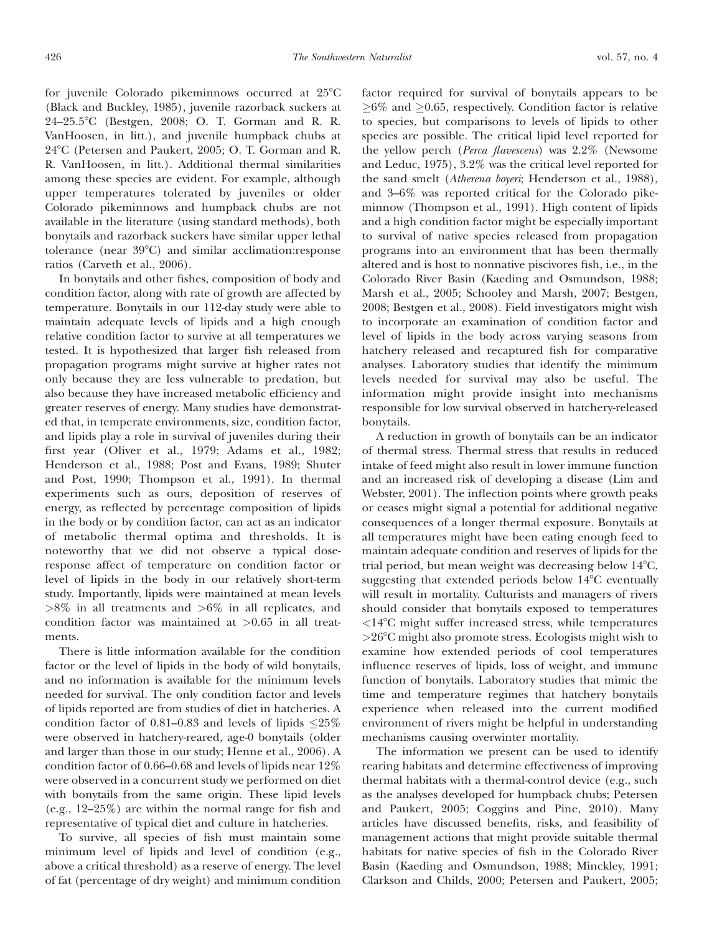for juvenile Colorado pikeminnows occurred at  $25^{\circ}$ C (Black and Buckley, 1985), juvenile razorback suckers at 24–25.58C (Bestgen, 2008; O. T. Gorman and R. R. VanHoosen, in litt.), and juvenile humpback chubs at 24°C (Petersen and Paukert, 2005; O. T. Gorman and R. R. VanHoosen, in litt.). Additional thermal similarities among these species are evident. For example, although upper temperatures tolerated by juveniles or older Colorado pikeminnows and humpback chubs are not available in the literature (using standard methods), both bonytails and razorback suckers have similar upper lethal tolerance (near  $39^{\circ}$ C) and similar acclimation:response ratios (Carveth et al., 2006).

In bonytails and other fishes, composition of body and condition factor, along with rate of growth are affected by temperature. Bonytails in our 112-day study were able to maintain adequate levels of lipids and a high enough relative condition factor to survive at all temperatures we tested. It is hypothesized that larger fish released from propagation programs might survive at higher rates not only because they are less vulnerable to predation, but also because they have increased metabolic efficiency and greater reserves of energy. Many studies have demonstrated that, in temperate environments, size, condition factor, and lipids play a role in survival of juveniles during their first year (Oliver et al., 1979; Adams et al., 1982; Henderson et al., 1988; Post and Evans, 1989; Shuter and Post, 1990; Thompson et al., 1991). In thermal experiments such as ours, deposition of reserves of energy, as reflected by percentage composition of lipids in the body or by condition factor, can act as an indicator of metabolic thermal optima and thresholds. It is noteworthy that we did not observe a typical doseresponse affect of temperature on condition factor or level of lipids in the body in our relatively short-term study. Importantly, lipids were maintained at mean levels  $>8\%$  in all treatments and  $>6\%$  in all replicates, and condition factor was maintained at  $>0.65$  in all treatments.

There is little information available for the condition factor or the level of lipids in the body of wild bonytails, and no information is available for the minimum levels needed for survival. The only condition factor and levels of lipids reported are from studies of diet in hatcheries. A condition factor of 0.81–0.83 and levels of lipids  $\leq$ 25% were observed in hatchery-reared, age-0 bonytails (older and larger than those in our study; Henne et al., 2006). A condition factor of 0.66–0.68 and levels of lipids near 12% were observed in a concurrent study we performed on diet with bonytails from the same origin. These lipid levels (e.g., 12–25%) are within the normal range for fish and representative of typical diet and culture in hatcheries.

To survive, all species of fish must maintain some minimum level of lipids and level of condition (e.g., above a critical threshold) as a reserve of energy. The level of fat (percentage of dry weight) and minimum condition factor required for survival of bonytails appears to be  $\geq 6\%$  and  $\geq 0.65$ , respectively. Condition factor is relative to species, but comparisons to levels of lipids to other species are possible. The critical lipid level reported for the yellow perch (Perca flavescens) was 2.2% (Newsome and Leduc, 1975), 3.2% was the critical level reported for the sand smelt (Atherena boyeri; Henderson et al., 1988), and 3–6% was reported critical for the Colorado pikeminnow (Thompson et al., 1991). High content of lipids and a high condition factor might be especially important to survival of native species released from propagation programs into an environment that has been thermally altered and is host to nonnative piscivores fish, i.e., in the Colorado River Basin (Kaeding and Osmundson, 1988; Marsh et al., 2005; Schooley and Marsh, 2007; Bestgen, 2008; Bestgen et al., 2008). Field investigators might wish to incorporate an examination of condition factor and level of lipids in the body across varying seasons from hatchery released and recaptured fish for comparative analyses. Laboratory studies that identify the minimum levels needed for survival may also be useful. The information might provide insight into mechanisms responsible for low survival observed in hatchery-released bonytails.

A reduction in growth of bonytails can be an indicator of thermal stress. Thermal stress that results in reduced intake of feed might also result in lower immune function and an increased risk of developing a disease (Lim and Webster, 2001). The inflection points where growth peaks or ceases might signal a potential for additional negative consequences of a longer thermal exposure. Bonytails at all temperatures might have been eating enough feed to maintain adequate condition and reserves of lipids for the trial period, but mean weight was decreasing below  $14^{\circ}$ C, suggesting that extended periods below  $14^{\circ}$ C eventually will result in mortality. Culturists and managers of rivers should consider that bonytails exposed to temperatures  $<$ 14 $^{\circ}$ C might suffer increased stress, while temperatures  $>26^{\circ}$ C might also promote stress. Ecologists might wish to examine how extended periods of cool temperatures influence reserves of lipids, loss of weight, and immune function of bonytails. Laboratory studies that mimic the time and temperature regimes that hatchery bonytails experience when released into the current modified environment of rivers might be helpful in understanding mechanisms causing overwinter mortality.

The information we present can be used to identify rearing habitats and determine effectiveness of improving thermal habitats with a thermal-control device (e.g., such as the analyses developed for humpback chubs; Petersen and Paukert, 2005; Coggins and Pine, 2010). Many articles have discussed benefits, risks, and feasibility of management actions that might provide suitable thermal habitats for native species of fish in the Colorado River Basin (Kaeding and Osmundson, 1988; Minckley, 1991; Clarkson and Childs, 2000; Petersen and Paukert, 2005;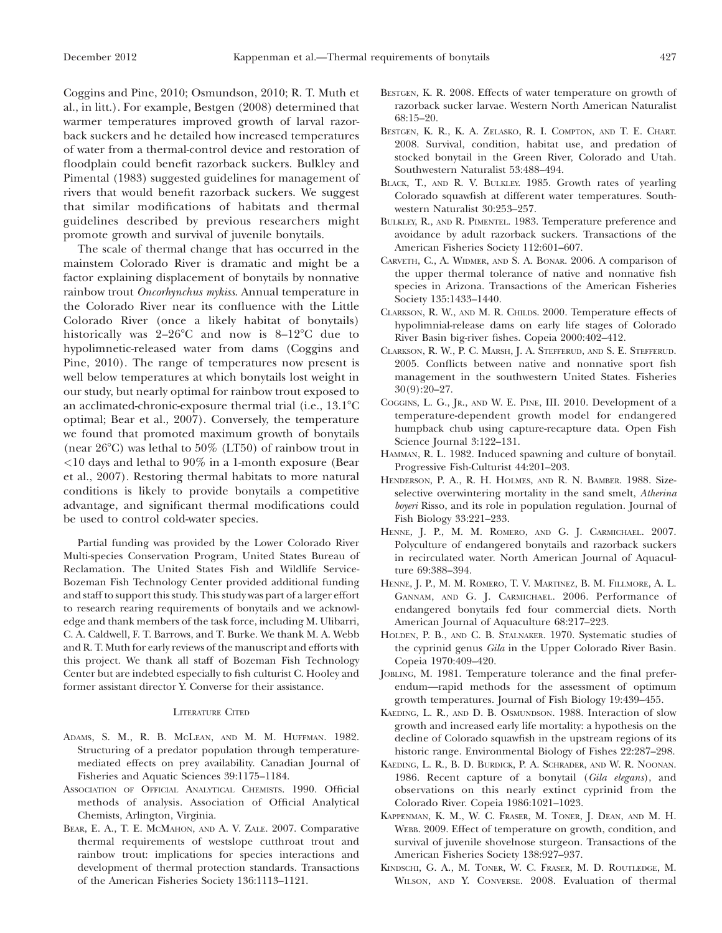Coggins and Pine, 2010; Osmundson, 2010; R. T. Muth et al., in litt.). For example, Bestgen (2008) determined that warmer temperatures improved growth of larval razorback suckers and he detailed how increased temperatures of water from a thermal-control device and restoration of floodplain could benefit razorback suckers. Bulkley and Pimental (1983) suggested guidelines for management of rivers that would benefit razorback suckers. We suggest that similar modifications of habitats and thermal guidelines described by previous researchers might promote growth and survival of juvenile bonytails.

The scale of thermal change that has occurred in the mainstem Colorado River is dramatic and might be a factor explaining displacement of bonytails by nonnative rainbow trout Oncorhynchus mykiss. Annual temperature in the Colorado River near its confluence with the Little Colorado River (once a likely habitat of bonytails) historically was  $2-26^{\circ}$ C and now is  $8-12^{\circ}$ C due to hypolimnetic-released water from dams (Coggins and Pine, 2010). The range of temperatures now present is well below temperatures at which bonytails lost weight in our study, but nearly optimal for rainbow trout exposed to an acclimated-chronic-exposure thermal trial (i.e.,  $13.1^{\circ}$ C optimal; Bear et al., 2007). Conversely, the temperature we found that promoted maximum growth of bonytails (near  $26^{\circ}$ C) was lethal to  $50\%$  (LT50) of rainbow trout in <10 days and lethal to 90% in a 1-month exposure (Bear et al., 2007). Restoring thermal habitats to more natural conditions is likely to provide bonytails a competitive advantage, and significant thermal modifications could be used to control cold-water species.

Partial funding was provided by the Lower Colorado River Multi-species Conservation Program, United States Bureau of Reclamation. The United States Fish and Wildlife Service-Bozeman Fish Technology Center provided additional funding and staff to support this study. This study was part of a larger effort to research rearing requirements of bonytails and we acknowledge and thank members of the task force, including M. Ulibarri, C. A. Caldwell, F. T. Barrows, and T. Burke. We thank M. A. Webb and R. T. Muth for early reviews of the manuscript and efforts with this project. We thank all staff of Bozeman Fish Technology Center but are indebted especially to fish culturist C. Hooley and former assistant director Y. Converse for their assistance.

## LITERATURE CITED

- ADAMS, S. M., R. B. MCLEAN, AND M. M. HUFFMAN. 1982. Structuring of a predator population through temperaturemediated effects on prey availability. Canadian Journal of Fisheries and Aquatic Sciences 39:1175–1184.
- ASSOCIATION OF OFFICIAL ANALYTICAL CHEMISTS. 1990. Official methods of analysis. Association of Official Analytical Chemists, Arlington, Virginia.
- BEAR, E. A., T. E. MCMAHON, AND A. V. ZALE. 2007. Comparative thermal requirements of westslope cutthroat trout and rainbow trout: implications for species interactions and development of thermal protection standards. Transactions of the American Fisheries Society 136:1113–1121.
- BESTGEN, K. R. 2008. Effects of water temperature on growth of razorback sucker larvae. Western North American Naturalist 68:15–20.
- BESTGEN, K. R., K. A. ZELASKO, R. I. COMPTON, AND T. E. CHART. 2008. Survival, condition, habitat use, and predation of stocked bonytail in the Green River, Colorado and Utah. Southwestern Naturalist 53:488–494.
- BLACK, T., AND R. V. BULKLEY. 1985. Growth rates of yearling Colorado squawfish at different water temperatures. Southwestern Naturalist 30:253–257.
- BULKLEY, R., AND R. PIMENTEL. 1983. Temperature preference and avoidance by adult razorback suckers. Transactions of the American Fisheries Society 112:601–607.
- CARVETH, C., A. WIDMER, AND S. A. BONAR. 2006. A comparison of the upper thermal tolerance of native and nonnative fish species in Arizona. Transactions of the American Fisheries Society 135:1433–1440.
- CLARKSON, R. W., AND M. R. CHILDS. 2000. Temperature effects of hypolimnial-release dams on early life stages of Colorado River Basin big-river fishes. Copeia 2000:402–412.
- CLARKSON, R. W., P. C. MARSH, J. A. STEFFERUD, AND S. E. STEFFERUD. 2005. Conflicts between native and nonnative sport fish management in the southwestern United States. Fisheries 30(9):20–27.
- COGGINS, L. G., JR., AND W. E. PINE, III. 2010. Development of a temperature-dependent growth model for endangered humpback chub using capture-recapture data. Open Fish Science Journal 3:122–131.
- HAMMAN, R. L. 1982. Induced spawning and culture of bonytail. Progressive Fish-Culturist 44:201–203.
- HENDERSON, P. A., R. H. HOLMES, AND R. N. BAMBER. 1988. Sizeselective overwintering mortality in the sand smelt, Atherina boyeri Risso, and its role in population regulation. Journal of Fish Biology 33:221–233.
- HENNE, J. P., M. M. ROMERO, AND G. J. CARMICHAEL. 2007. Polyculture of endangered bonytails and razorback suckers in recirculated water. North American Journal of Aquaculture 69:388–394.
- HENNE, J. P., M. M. ROMERO, T. V. MARTINEZ, B. M. FILLMORE, A. L. GANNAM, AND G. J. CARMICHAEL. 2006. Performance of endangered bonytails fed four commercial diets. North American Journal of Aquaculture 68:217–223.
- HOLDEN, P. B., AND C. B. STALNAKER. 1970. Systematic studies of the cyprinid genus Gila in the Upper Colorado River Basin. Copeia 1970:409–420.
- JOBLING, M. 1981. Temperature tolerance and the final preferendum—rapid methods for the assessment of optimum growth temperatures. Journal of Fish Biology 19:439–455.
- KAEDING, L. R., AND D. B. OSMUNDSON. 1988. Interaction of slow growth and increased early life mortality: a hypothesis on the decline of Colorado squawfish in the upstream regions of its historic range. Environmental Biology of Fishes 22:287–298.
- KAEDING, L. R., B. D. BURDICK, P. A. SCHRADER, AND W. R. NOONAN. 1986. Recent capture of a bonytail (Gila elegans), and observations on this nearly extinct cyprinid from the Colorado River. Copeia 1986:1021–1023.
- KAPPENMAN, K. M., W. C. FRASER, M. TONER, J. DEAN, AND M. H. WEBB. 2009. Effect of temperature on growth, condition, and survival of juvenile shovelnose sturgeon. Transactions of the American Fisheries Society 138:927–937.
- KINDSCHI, G. A., M. TONER, W. C. FRASER, M. D. ROUTLEDGE, M. WILSON, AND Y. CONVERSE. 2008. Evaluation of thermal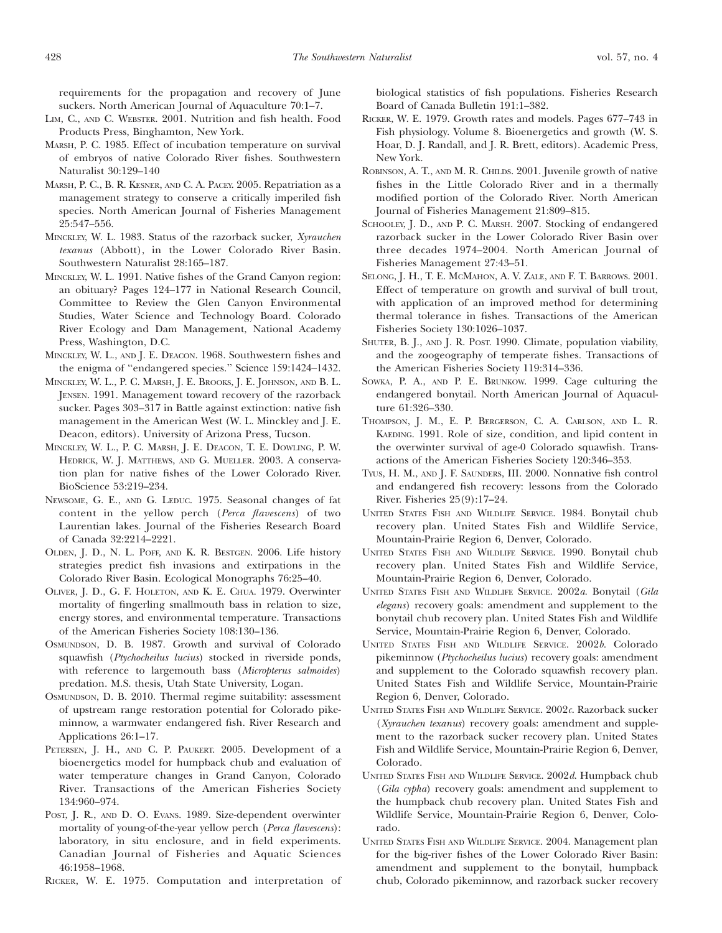requirements for the propagation and recovery of June suckers. North American Journal of Aquaculture 70:1–7.

- LIM, C., AND C. WEBSTER. 2001. Nutrition and fish health. Food Products Press, Binghamton, New York.
- MARSH, P. C. 1985. Effect of incubation temperature on survival of embryos of native Colorado River fishes. Southwestern Naturalist 30:129–140
- MARSH, P. C., B. R. KESNER, AND C. A. PACEY. 2005. Repatriation as a management strategy to conserve a critically imperiled fish species. North American Journal of Fisheries Management 25:547–556.
- MINCKLEY, W. L. 1983. Status of the razorback sucker, Xyrauchen texanus (Abbott), in the Lower Colorado River Basin. Southwestern Naturalist 28:165–187.
- MINCKLEY, W. L. 1991. Native fishes of the Grand Canyon region: an obituary? Pages 124–177 in National Research Council, Committee to Review the Glen Canyon Environmental Studies, Water Science and Technology Board. Colorado River Ecology and Dam Management, National Academy Press, Washington, D.C.
- MINCKLEY, W. L., AND J. E. DEACON. 1968. Southwestern fishes and the enigma of ''endangered species.'' Science 159:1424–1432.
- MINCKLEY, W. L., P. C. MARSH, J. E. BROOKS, J. E. JOHNSON, AND B. L. JENSEN. 1991. Management toward recovery of the razorback sucker. Pages 303–317 in Battle against extinction: native fish management in the American West (W. L. Minckley and J. E. Deacon, editors). University of Arizona Press, Tucson.
- MINCKLEY, W. L., P. C. MARSH, J. E. DEACON, T. E. DOWLING, P. W. HEDRICK, W. J. MATTHEWS, AND G. MUELLER. 2003. A conservation plan for native fishes of the Lower Colorado River. BioScience 53:219–234.
- NEWSOME, G. E., AND G. LEDUC. 1975. Seasonal changes of fat content in the yellow perch (Perca flavescens) of two Laurentian lakes. Journal of the Fisheries Research Board of Canada 32:2214–2221.
- OLDEN, J. D., N. L. POFF, AND K. R. BESTGEN. 2006. Life history strategies predict fish invasions and extirpations in the Colorado River Basin. Ecological Monographs 76:25–40.
- OLIVER, J. D., G. F. HOLETON, AND K. E. CHUA. 1979. Overwinter mortality of fingerling smallmouth bass in relation to size, energy stores, and environmental temperature. Transactions of the American Fisheries Society 108:130–136.
- OSMUNDSON, D. B. 1987. Growth and survival of Colorado squawfish (Ptychocheilus lucius) stocked in riverside ponds, with reference to largemouth bass (Micropterus salmoides) predation. M.S. thesis, Utah State University, Logan.
- OSMUNDSON, D. B. 2010. Thermal regime suitability: assessment of upstream range restoration potential for Colorado pikeminnow, a warmwater endangered fish. River Research and Applications 26:1–17.
- PETERSEN, J. H., AND C. P. PAUKERT. 2005. Development of a bioenergetics model for humpback chub and evaluation of water temperature changes in Grand Canyon, Colorado River. Transactions of the American Fisheries Society 134:960–974.
- POST, J. R., AND D. O. EVANS. 1989. Size-dependent overwinter mortality of young-of-the-year yellow perch (Perca flavescens): laboratory, in situ enclosure, and in field experiments. Canadian Journal of Fisheries and Aquatic Sciences 46:1958–1968.

RICKER, W. E. 1975. Computation and interpretation of

biological statistics of fish populations. Fisheries Research Board of Canada Bulletin 191:1–382.

- RICKER, W. E. 1979. Growth rates and models. Pages 677–743 in Fish physiology. Volume 8. Bioenergetics and growth (W. S. Hoar, D. J. Randall, and J. R. Brett, editors). Academic Press, New York.
- ROBINSON, A. T., AND M. R. CHILDS. 2001. Juvenile growth of native fishes in the Little Colorado River and in a thermally modified portion of the Colorado River. North American Journal of Fisheries Management 21:809–815.
- SCHOOLEY, J. D., AND P. C. MARSH. 2007. Stocking of endangered razorback sucker in the Lower Colorado River Basin over three decades 1974–2004. North American Journal of Fisheries Management 27:43–51.
- SELONG, J. H., T. E. MCMAHON, A. V. ZALE, AND F. T. BARROWS. 2001. Effect of temperature on growth and survival of bull trout, with application of an improved method for determining thermal tolerance in fishes. Transactions of the American Fisheries Society 130:1026–1037.
- SHUTER, B. J., AND J. R. POST. 1990. Climate, population viability, and the zoogeography of temperate fishes. Transactions of the American Fisheries Society 119:314–336.
- SOWKA, P. A., AND P. E. BRUNKOW. 1999. Cage culturing the endangered bonytail. North American Journal of Aquaculture 61:326–330.
- THOMPSON, J. M., E. P. BERGERSON, C. A. CARLSON, AND L. R. KAEDING. 1991. Role of size, condition, and lipid content in the overwinter survival of age-0 Colorado squawfish. Transactions of the American Fisheries Society 120:346–353.
- TYUS, H. M., AND J. F. SAUNDERS, III. 2000. Nonnative fish control and endangered fish recovery: lessons from the Colorado River. Fisheries 25(9):17–24.
- UNITED STATES FISH AND WILDLIFE SERVICE. 1984. Bonytail chub recovery plan. United States Fish and Wildlife Service, Mountain-Prairie Region 6, Denver, Colorado.
- UNITED STATES FISH AND WILDLIFE SERVICE. 1990. Bonytail chub recovery plan. United States Fish and Wildlife Service, Mountain-Prairie Region 6, Denver, Colorado.
- UNITED STATES FISH AND WILDLIFE SERVICE. 2002a. Bonytail (Gila elegans) recovery goals: amendment and supplement to the bonytail chub recovery plan. United States Fish and Wildlife Service, Mountain-Prairie Region 6, Denver, Colorado.
- UNITED STATES FISH AND WILDLIFE SERVICE. 2002b. Colorado pikeminnow (Ptychocheilus lucius) recovery goals: amendment and supplement to the Colorado squawfish recovery plan. United States Fish and Wildlife Service, Mountain-Prairie Region 6, Denver, Colorado.
- UNITED STATES FISH AND WILDLIFE SERVICE. 2002c. Razorback sucker (Xyrauchen texanus) recovery goals: amendment and supplement to the razorback sucker recovery plan. United States Fish and Wildlife Service, Mountain-Prairie Region 6, Denver, Colorado.
- UNITED STATES FISH AND WILDLIFE SERVICE. 2002d. Humpback chub (Gila cypha) recovery goals: amendment and supplement to the humpback chub recovery plan. United States Fish and Wildlife Service, Mountain-Prairie Region 6, Denver, Colorado.
- UNITED STATES FISH AND WILDLIFE SERVICE. 2004. Management plan for the big-river fishes of the Lower Colorado River Basin: amendment and supplement to the bonytail, humpback chub, Colorado pikeminnow, and razorback sucker recovery